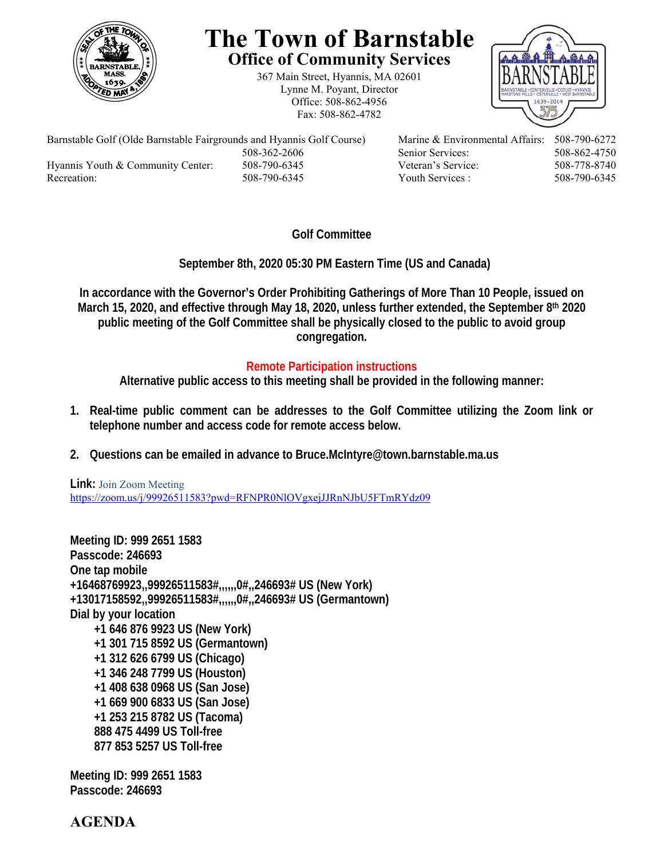

## **The Town of Barnstable Office of Community Services**

367 Main Street, Hyannis, MA 02601 Lynne M. Poyant, Director Office: 508-862-4956 Fax: 508-862-4782



Barnstable Golf (Olde Barnstable Fairgrounds and Hyannis Golf Course) Marine & Environmental Affairs: 508-790-6272 508-362-2606 Senior Services: 508-862-4750 Hyannis Youth & Community Center: 508-790-6345 Veteran's Service: 508-778-8740 Recreation: 508-790-6345 Youth Services : 508-790-6345 S08-790-6345

## **Golf Committee**

 **September 8th, 2020 05:30 PM Eastern Time (US and Canada)** 

**In accordance with the Governor's Order Prohibiting Gatherings of More Than 10 People, issued on March 15, 2020, and effective through May 18, 2020, unless further extended, the September 8th 2020 public meeting of the Golf Committee shall be physically closed to the public to avoid group congregation.** 

## **Remote Participation instructions**

**Alternative public access to this meeting shall be provided in the following manner:** 

- **1. Real-time public comment can be addresses to the Golf Committee utilizing the Zoom link or telephone number and access code for remote access below.**
- **2. Questions can be emailed in advance to Bruce.McIntyre@town.barnstable.ma.us**

**Link:** Join Zoom Meeting https://zoom.us/j/99926511583?pwd=RFNPR0NlOVgxejJJRnNJbU5FTmRYdz09

**Meeting ID: 999 2651 1583 Passcode: 246693 One tap mobile +16468769923,,99926511583#,,,,,,0#,,246693# US (New York) +13017158592,,99926511583#,,,,,,0#,,246693# US (Germantown) Dial by your location +1 646 876 9923 US (New York) +1 301 715 8592 US (Germantown) +1 312 626 6799 US (Chicago) +1 346 248 7799 US (Houston) +1 408 638 0968 US (San Jose) +1 669 900 6833 US (San Jose) +1 253 215 8782 US (Tacoma) 888 475 4499 US Toll-free 877 853 5257 US Toll-free** 

**Meeting ID: 999 2651 1583 Passcode: 246693** 

**AGENDA**